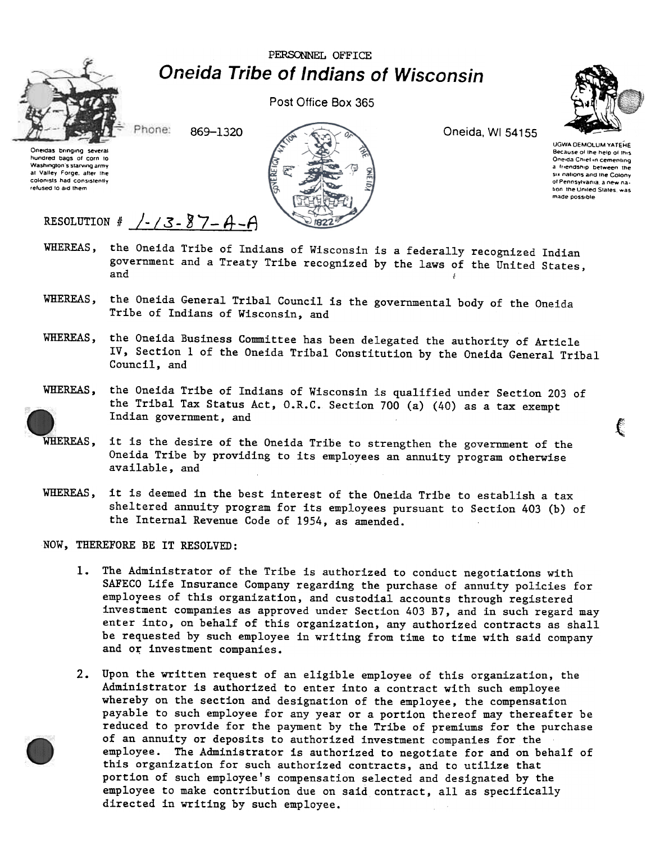PERSONNEL OFFICE **Oneida Tribe of Indians of Wisconsin** 



Post Office Box 365

Phone: 869-1320





#### Oneida, WI 54155



UGWA DEMOLUM YATEHE Because of the help of this Oneida Chief in cementing a friendship between the six nations and the Colony of Pennsylvania, a new nation the United States, was made possible

# RESOLUTION #  $/ - / 3 - 87 - 4 - A$

- WHEREAS, the Oneida Tribe of Indians of Wisconsin is a federally recognized Indian government and a Treaty Tribe recognized by the laws of the United States, and
- WHEREAS, the Oneida General Tribal Council is the governmental body of the Oneida Tribe of Indians of Wisconsin, and
- WHEREAS. the Oneida Business Committee has been delegated the authority of Article IV, Section 1 of the Oneida Tribal Constitution by the Oneida General Tribal Council, and



- WHEREAS, it is the desire of the Oneida Tribe to strengthen the government of the Oneida Tribe by providing to its employees an annuity program otherwise available, and
- it is deemed in the best interest of the Oneida Tribe to establish a tax WHEREAS, sheltered annuity program for its employees pursuant to Section 403 (b) of the Internal Revenue Code of 1954, as amended.

NOW, THEREFORE BE IT RESOLVED:

- The Administrator of the Tribe is authorized to conduct negotiations with  $1.$ SAFECO Life Insurance Company regarding the purchase of annuity policies for employees of this organization, and custodial accounts through registered investment companies as approved under Section 403 B7, and in such regard may enter into, on behalf of this organization, any authorized contracts as shall be requested by such employee in writing from time to time with said company and or investment companies.
- 2. Upon the written request of an eligible employee of this organization, the Administrator is authorized to enter into a contract with such employee whereby on the section and designation of the employee, the compensation payable to such employee for any year or a portion thereof may thereafter be reduced to provide for the payment by the Tribe of premiums for the purchase of an annuity or deposits to authorized investment companies for the employee. The Administrator is authorized to negotiate for and on behalf of this organization for such authorized contracts, and to utilize that portion of such employee's compensation selected and designated by the employee to make contribution due on said contract, all as specifically directed in writing by such employee.



€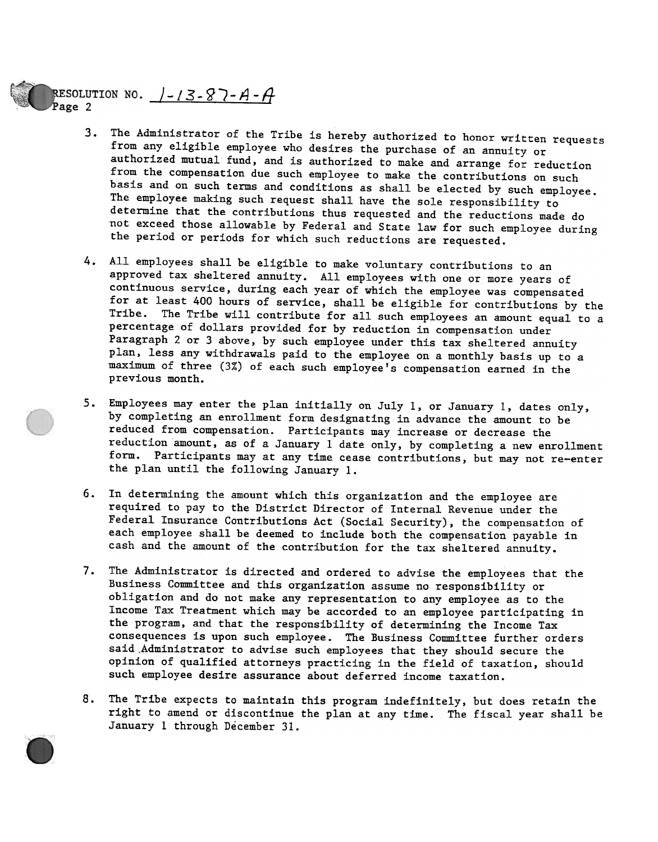### RESOLUTION NO.  $1 - 13 - 87 - A - A$ Page 2

- 3. The Administrator of the Tribe is hereby authorized to honor written requests from any eligible employee who desires the purchase of an annuity or authorized mutual fund, and is authorized to make and arrange for reduction from the compensation due such employee to make the contributions on such basis and on such terms and conditions as shall be elected by such employee. The employee making such request shall have the sole responsibility to determine that the contributions thus requested and the reductions made do not exceed those allowable by Federal and State law for such employee during the period or periods for which such reductions are requested.
- 4. All employees shall be eligible to make voluntary contributions to an approved tax sheltered annuity. All employees with one or more years of continuous service, during each year of which the employee was compensated for at least 400 hours of service, shall be eligible for contributions by the Tribe. The Tribe will contribute for all such employees an amount equal to a percentage of dollars provided for by reduction in compensation under Paragraph 2 or 3 above, by such employee under this tax sheltered annuity plan, less any withdrawals paid to the employee on a monthly basis up to a maximum of three (3%) of each such employee's compensation earned in the previous month.
- Employees may enter the plan initially on July 1, or January 1, dates only, by completing an enrollment form designating in advance the amount to be reduced from compensation. Participants may increase or decrease the reduction amount, as of a January 1 date only, by completing a new enrollment form. Participants may at any time cease contributions, but may not re-enter the plan until the following January 1.
- 6. In determining the amount which this organization and the employee are required to pay to the District Director of Internal Revenue under the Federal Insurance Contributions Act (Social Security), the compensation of each employee shall be deemed to include both the compensation payable in cash and the amount of the contribution for the tax sheltered annuity.
- 6. In determining the amount which this organization and the employee are required to pay to the District Director of Internal Revenue under the redeed to include both this original Insurance Contributions Act (Social Secu 7. The Administrator is directed and ordered to advise the employees that the Business Committee and this organization assume no responsibility or obligation and do not make any representation to any employee as to the Income Tax Treatment which may be accorded to an employee participating in the program. and that the responsibility of determining the Income Tax consequences is upon such employee. The Business Committee further orders said.Administrator to advise such employees that they should secure the opinion of qualified attorneys practicing in the field of taxation. should such employee desire assurance about deferred income taxation.
	- 8. The Tribe expects to maintain this program indefinitely, but does retain the right to amend or discontinue the plan at any time. The fiscal year shall be January 1 through December 31.